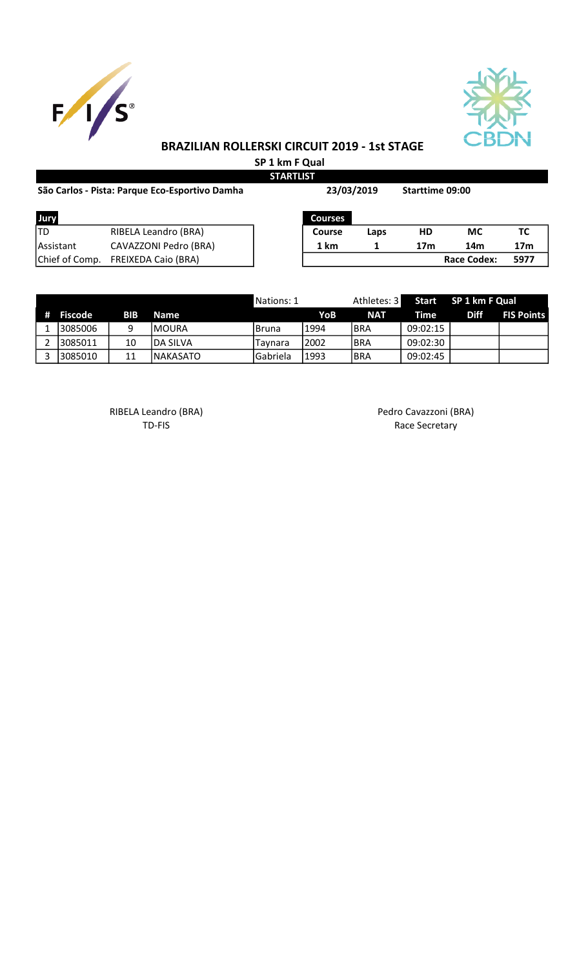



# BRAZILIAN ROLLERSKI CIRCUIT 2019 - 1st STAGE

 SP 1 km F Qual **STARTLIST** 

| São Carlos - Pista: Parque Eco-Esportivo Damha | 23/03/2019                 |                | <b>Starttime 09:00</b> |                 |                    |                 |
|------------------------------------------------|----------------------------|----------------|------------------------|-----------------|--------------------|-----------------|
| Jury                                           |                            | <b>Courses</b> |                        |                 |                    |                 |
| <b>ITD</b>                                     | RIBELA Leandro (BRA)       | <b>Course</b>  | Laps                   | HD              | <b>MC</b>          | тс              |
| <b>IAssistant</b>                              | CAVAZZONI Pedro (BRA)      | 1 km           |                        | 17 <sub>m</sub> | 14m                | 17 <sub>m</sub> |
| Chief of Comp.                                 | <b>FREIXEDA Caio (BRA)</b> |                |                        |                 | <b>Race Codex:</b> | 5977            |

|           |     |                  | Nations: 1 |       | Athletes: 3 |          | Start SP 1 km F Qual |                   |
|-----------|-----|------------------|------------|-------|-------------|----------|----------------------|-------------------|
| # Fiscode | BIB | Name             |            | YoB   | <b>NAT</b>  | Time     | <b>Diff</b>          | <b>FIS Points</b> |
| 13085006  | q   | IMOURA           | I Bruna    | 1994  | <b>BRA</b>  | 09:02:15 |                      |                   |
| 13085011  | 10  | <b>IDA SILVA</b> | Tavnara    | 12002 | <b>BRA</b>  | 09:02:30 |                      |                   |
| 13085010  |     | <b>INAKASATO</b> | l Gabriela | 11993 | <b>BRA</b>  | 09:02:45 |                      |                   |

RIBELA Leandro (BRA) and a control of the Pedro Cavazzoni (BRA)

TD-FIS Race Secretary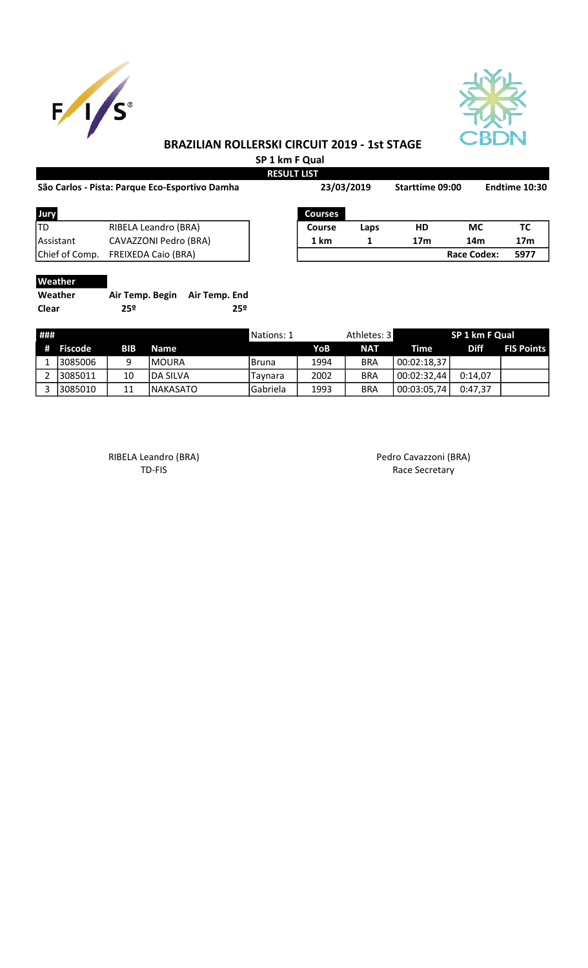



### BRAZILIAN ROLLERSKI CIRCUIT 2019 - 1st STAGE

 SP 1 km F Qual RESULT LIST

| São Carlos - Pista: Parque Eco-Esportivo Damha |                            |  | 23/03/2019     |      | Starttime 09:00 |                    | Endtime 10:30   |  |
|------------------------------------------------|----------------------------|--|----------------|------|-----------------|--------------------|-----------------|--|
| Jury                                           |                            |  | <b>Courses</b> |      |                 |                    |                 |  |
| ltd                                            | RIBELA Leandro (BRA)       |  | Course         | Laps | HD              | <b>MC</b>          | ТC              |  |
| Assistant                                      | CAVAZZONI Pedro (BRA)      |  | 1 km           | 1    | 17 <sub>m</sub> | 14m                | 17 <sub>m</sub> |  |
| Chief of Comp.                                 | <b>FREIXEDA Caio (BRA)</b> |  |                |      |                 | <b>Race Codex:</b> | 5977            |  |
| $M = -1$                                       |                            |  |                |      |                 |                    |                 |  |

#### **Weather**

| Weather      | Air Temp. Begin Air Temp. End |     |
|--------------|-------------------------------|-----|
| <b>Clear</b> | 25º                           | 25º |

| ### |           |     |             | Nations: 1 |      | Athletes: 3 |             | SP 1 km F Qual |                   |
|-----|-----------|-----|-------------|------------|------|-------------|-------------|----------------|-------------------|
|     | # Fiscode | BIB | <b>Name</b> |            | YoB  | <b>NAT</b>  | Time        | <b>Diff</b>    | <b>FIS Points</b> |
|     | 3085006   | q   | IMOURA      | l Bruna    | 1994 | <b>BRA</b>  | 00:02:18,37 |                |                   |
|     | 3085011   | 10  | IDA SILVA   | Taynara    | 2002 | <b>BRA</b>  | 00:02:32,44 | 0:14.07        |                   |
|     | 3085010   | 11  | INAKASATO   | Gabriela   | 1993 | <b>BRA</b>  | 00:03:05,74 | 0:47.37        |                   |

RIBELA Leandro (BRA) and a control of the Pedro Cavazzoni (BRA)

TD-FIS Race Secretary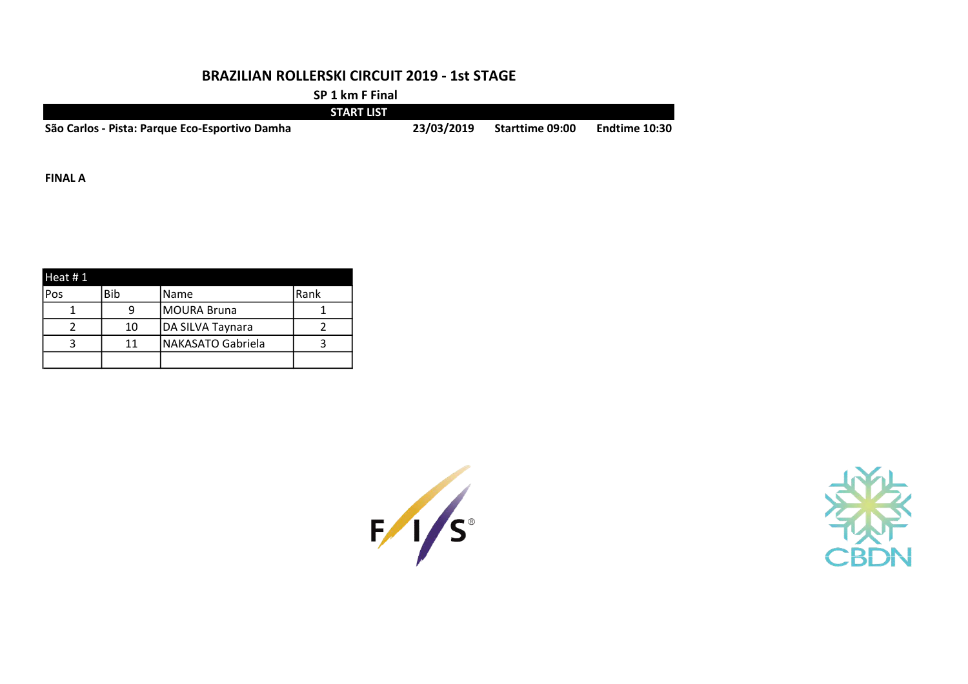### BRAZILIAN ROLLERSKI CIRCUIT 2019 - 1st STAGE

SP 1 km F Final

|                                                | <b>START LIST</b> |            |                        |               |
|------------------------------------------------|-------------------|------------|------------------------|---------------|
| São Carlos - Pista: Parque Eco-Esportivo Damha |                   | 23/03/2019 | <b>Starttime 09:00</b> | Endtime 10:30 |

FINAL A

| Heat #1 |     |                    |      |
|---------|-----|--------------------|------|
| Pos     | Bib | Name               | Rank |
|         |     | <b>MOURA Bruna</b> |      |
|         | 10  | DA SILVA Taynara   |      |
|         | 11  | NAKASATO Gabriela  |      |
|         |     |                    |      |